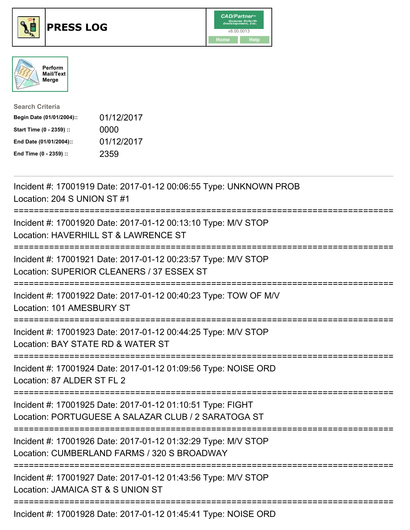





| <b>Search Criteria</b>    |            |
|---------------------------|------------|
| Begin Date (01/01/2004):: | 01/12/2017 |
| Start Time (0 - 2359) ::  | 0000       |
| End Date (01/01/2004)::   | 01/12/2017 |
| End Time (0 - 2359) ::    | 2359       |

| Incident #: 17001919 Date: 2017-01-12 00:06:55 Type: UNKNOWN PROB<br>Location: 204 S UNION ST #1                                           |
|--------------------------------------------------------------------------------------------------------------------------------------------|
| Incident #: 17001920 Date: 2017-01-12 00:13:10 Type: M/V STOP<br>Location: HAVERHILL ST & LAWRENCE ST                                      |
| Incident #: 17001921 Date: 2017-01-12 00:23:57 Type: M/V STOP<br>Location: SUPERIOR CLEANERS / 37 ESSEX ST                                 |
| Incident #: 17001922 Date: 2017-01-12 00:40:23 Type: TOW OF M/V<br>Location: 101 AMESBURY ST                                               |
| Incident #: 17001923 Date: 2017-01-12 00:44:25 Type: M/V STOP<br>Location: BAY STATE RD & WATER ST<br>:================================    |
| Incident #: 17001924 Date: 2017-01-12 01:09:56 Type: NOISE ORD<br>Location: 87 ALDER ST FL 2                                               |
| Incident #: 17001925 Date: 2017-01-12 01:10:51 Type: FIGHT<br>Location: PORTUGUESE A SALAZAR CLUB / 2 SARATOGA ST                          |
| ==========================<br>Incident #: 17001926 Date: 2017-01-12 01:32:29 Type: M/V STOP<br>Location: CUMBERLAND FARMS / 320 S BROADWAY |
| Incident #: 17001927 Date: 2017-01-12 01:43:56 Type: M/V STOP<br>Location: JAMAICA ST & S UNION ST                                         |
|                                                                                                                                            |

Incident #: 17001928 Date: 2017-01-12 01:45:41 Type: NOISE ORD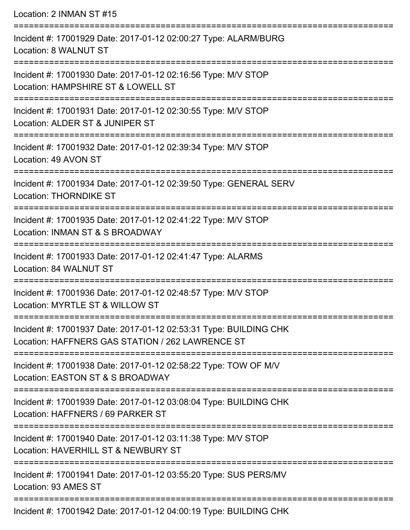| Location: 2 INMAN ST #15                                                                                              |
|-----------------------------------------------------------------------------------------------------------------------|
| :================<br>Incident #: 17001929 Date: 2017-01-12 02:00:27 Type: ALARM/BURG<br>Location: 8 WALNUT ST         |
| Incident #: 17001930 Date: 2017-01-12 02:16:56 Type: M/V STOP<br>Location: HAMPSHIRE ST & LOWELL ST                   |
| Incident #: 17001931 Date: 2017-01-12 02:30:55 Type: M/V STOP<br>Location: ALDER ST & JUNIPER ST                      |
| Incident #: 17001932 Date: 2017-01-12 02:39:34 Type: M/V STOP<br>Location: 49 AVON ST                                 |
| Incident #: 17001934 Date: 2017-01-12 02:39:50 Type: GENERAL SERV<br><b>Location: THORNDIKE ST</b>                    |
| Incident #: 17001935 Date: 2017-01-12 02:41:22 Type: M/V STOP<br>Location: INMAN ST & S BROADWAY                      |
| Incident #: 17001933 Date: 2017-01-12 02:41:47 Type: ALARMS<br>Location: 84 WALNUT ST                                 |
| Incident #: 17001936 Date: 2017-01-12 02:48:57 Type: M/V STOP<br>Location: MYRTLE ST & WILLOW ST                      |
| Incident #: 17001937 Date: 2017-01-12 02:53:31 Type: BUILDING CHK<br>Location: HAFFNERS GAS STATION / 262 LAWRENCE ST |
| Incident #: 17001938 Date: 2017-01-12 02:58:22 Type: TOW OF M/V<br>Location: EASTON ST & S BROADWAY                   |
| Incident #: 17001939 Date: 2017-01-12 03:08:04 Type: BUILDING CHK<br>Location: HAFFNERS / 69 PARKER ST                |
| Incident #: 17001940 Date: 2017-01-12 03:11:38 Type: M/V STOP<br>Location: HAVERHILL ST & NEWBURY ST                  |
| Incident #: 17001941 Date: 2017-01-12 03:55:20 Type: SUS PERS/MV<br>Location: 93 AMES ST                              |
| Incident #: 17001942 Date: 2017-01-12 04:00:19 Type: BUILDING CHK                                                     |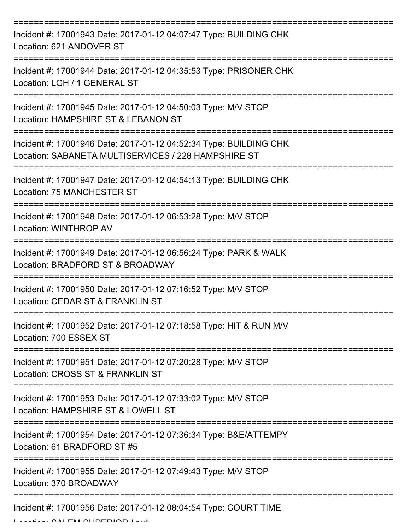| Incident #: 17001943 Date: 2017-01-12 04:07:47 Type: BUILDING CHK<br>Location: 621 ANDOVER ST                            |
|--------------------------------------------------------------------------------------------------------------------------|
| Incident #: 17001944 Date: 2017-01-12 04:35:53 Type: PRISONER CHK<br>Location: LGH / 1 GENERAL ST                        |
| Incident #: 17001945 Date: 2017-01-12 04:50:03 Type: M/V STOP<br>Location: HAMPSHIRE ST & LEBANON ST                     |
| Incident #: 17001946 Date: 2017-01-12 04:52:34 Type: BUILDING CHK<br>Location: SABANETA MULTISERVICES / 228 HAMPSHIRE ST |
| Incident #: 17001947 Date: 2017-01-12 04:54:13 Type: BUILDING CHK<br>Location: 75 MANCHESTER ST                          |
| Incident #: 17001948 Date: 2017-01-12 06:53:28 Type: M/V STOP<br>Location: WINTHROP AV                                   |
| Incident #: 17001949 Date: 2017-01-12 06:56:24 Type: PARK & WALK<br>Location: BRADFORD ST & BROADWAY                     |
| Incident #: 17001950 Date: 2017-01-12 07:16:52 Type: M/V STOP<br>Location: CEDAR ST & FRANKLIN ST                        |
| Incident #: 17001952 Date: 2017-01-12 07:18:58 Type: HIT & RUN M/V<br>Location: 700 ESSEX ST                             |
| Incident #: 17001951 Date: 2017-01-12 07:20:28 Type: M/V STOP<br>Location: CROSS ST & FRANKLIN ST                        |
| Incident #: 17001953 Date: 2017-01-12 07:33:02 Type: M/V STOP<br>Location: HAMPSHIRE ST & LOWELL ST                      |
| Incident #: 17001954 Date: 2017-01-12 07:36:34 Type: B&E/ATTEMPY<br>Location: 61 BRADFORD ST #5                          |
| Incident #: 17001955 Date: 2017-01-12 07:49:43 Type: M/V STOP<br>Location: 370 BROADWAY                                  |
| Incident #: 17001956 Date: 2017-01-12 08:04:54 Type: COURT TIME                                                          |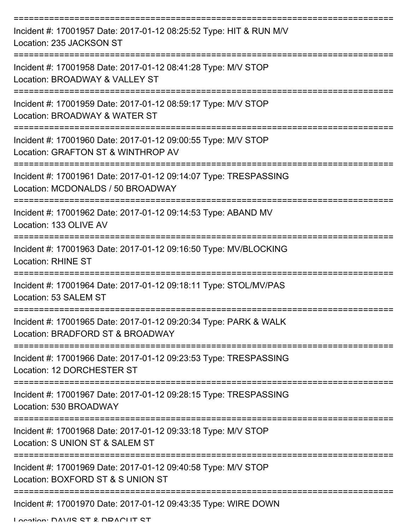| Incident #: 17001957 Date: 2017-01-12 08:25:52 Type: HIT & RUN M/V<br>Location: 235 JACKSON ST              |
|-------------------------------------------------------------------------------------------------------------|
| Incident #: 17001958 Date: 2017-01-12 08:41:28 Type: M/V STOP<br>Location: BROADWAY & VALLEY ST             |
| Incident #: 17001959 Date: 2017-01-12 08:59:17 Type: M/V STOP<br>Location: BROADWAY & WATER ST              |
| Incident #: 17001960 Date: 2017-01-12 09:00:55 Type: M/V STOP<br>Location: GRAFTON ST & WINTHROP AV         |
| Incident #: 17001961 Date: 2017-01-12 09:14:07 Type: TRESPASSING<br>Location: MCDONALDS / 50 BROADWAY       |
| Incident #: 17001962 Date: 2017-01-12 09:14:53 Type: ABAND MV<br>Location: 133 OLIVE AV                     |
| Incident #: 17001963 Date: 2017-01-12 09:16:50 Type: MV/BLOCKING<br><b>Location: RHINE ST</b>               |
| Incident #: 17001964 Date: 2017-01-12 09:18:11 Type: STOL/MV/PAS<br>Location: 53 SALEM ST                   |
| Incident #: 17001965 Date: 2017-01-12 09:20:34 Type: PARK & WALK<br>Location: BRADFORD ST & BROADWAY        |
| Incident #: 17001966 Date: 2017-01-12 09:23:53 Type: TRESPASSING<br>Location: 12 DORCHESTER ST              |
| =============<br>Incident #: 17001967 Date: 2017-01-12 09:28:15 Type: TRESPASSING<br>Location: 530 BROADWAY |
| Incident #: 17001968 Date: 2017-01-12 09:33:18 Type: M/V STOP<br>Location: S UNION ST & SALEM ST            |
| Incident #: 17001969 Date: 2017-01-12 09:40:58 Type: M/V STOP<br>Location: BOXFORD ST & S UNION ST          |
| Incident #: 17001970 Date: 2017-01-12 09:43:35 Type: WIRE DOWN                                              |

Location: DAVIC CT & DDACUT CT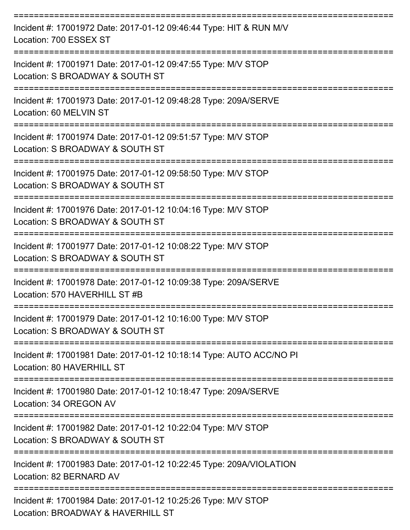| Incident #: 17001972 Date: 2017-01-12 09:46:44 Type: HIT & RUN M/V<br>Location: 700 ESSEX ST       |
|----------------------------------------------------------------------------------------------------|
| Incident #: 17001971 Date: 2017-01-12 09:47:55 Type: M/V STOP<br>Location: S BROADWAY & SOUTH ST   |
| Incident #: 17001973 Date: 2017-01-12 09:48:28 Type: 209A/SERVE<br>Location: 60 MELVIN ST          |
| Incident #: 17001974 Date: 2017-01-12 09:51:57 Type: M/V STOP<br>Location: S BROADWAY & SOUTH ST   |
| Incident #: 17001975 Date: 2017-01-12 09:58:50 Type: M/V STOP<br>Location: S BROADWAY & SOUTH ST   |
| Incident #: 17001976 Date: 2017-01-12 10:04:16 Type: M/V STOP<br>Location: S BROADWAY & SOUTH ST   |
| Incident #: 17001977 Date: 2017-01-12 10:08:22 Type: M/V STOP<br>Location: S BROADWAY & SOUTH ST   |
| Incident #: 17001978 Date: 2017-01-12 10:09:38 Type: 209A/SERVE<br>Location: 570 HAVERHILL ST #B   |
| Incident #: 17001979 Date: 2017-01-12 10:16:00 Type: M/V STOP<br>Location: S BROADWAY & SOUTH ST   |
| Incident #: 17001981 Date: 2017-01-12 10:18:14 Type: AUTO ACC/NO PI<br>Location: 80 HAVERHILL ST   |
| Incident #: 17001980 Date: 2017-01-12 10:18:47 Type: 209A/SERVE<br>Location: 34 OREGON AV          |
| Incident #: 17001982 Date: 2017-01-12 10:22:04 Type: M/V STOP<br>Location: S BROADWAY & SOUTH ST   |
| Incident #: 17001983 Date: 2017-01-12 10:22:45 Type: 209A/VIOLATION<br>Location: 82 BERNARD AV     |
| Incident #: 17001984 Date: 2017-01-12 10:25:26 Type: M/V STOP<br>Location: BROADWAY & HAVERHILL ST |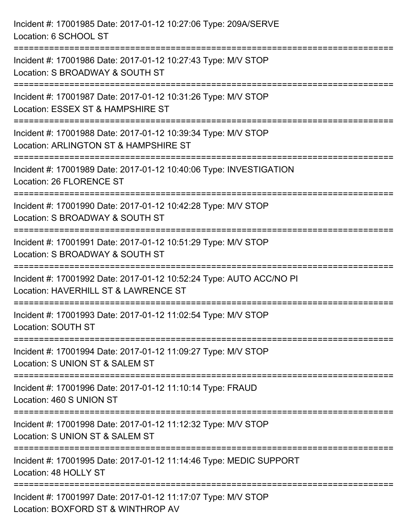| Incident #: 17001985 Date: 2017-01-12 10:27:06 Type: 209A/SERVE<br>Location: 6 SCHOOL ST                                         |
|----------------------------------------------------------------------------------------------------------------------------------|
| Incident #: 17001986 Date: 2017-01-12 10:27:43 Type: M/V STOP<br>Location: S BROADWAY & SOUTH ST                                 |
| Incident #: 17001987 Date: 2017-01-12 10:31:26 Type: M/V STOP<br>Location: ESSEX ST & HAMPSHIRE ST<br>========================== |
| Incident #: 17001988 Date: 2017-01-12 10:39:34 Type: M/V STOP<br>Location: ARLINGTON ST & HAMPSHIRE ST                           |
| Incident #: 17001989 Date: 2017-01-12 10:40:06 Type: INVESTIGATION<br><b>Location: 26 FLORENCE ST</b>                            |
| Incident #: 17001990 Date: 2017-01-12 10:42:28 Type: M/V STOP<br>Location: S BROADWAY & SOUTH ST                                 |
| Incident #: 17001991 Date: 2017-01-12 10:51:29 Type: M/V STOP<br>Location: S BROADWAY & SOUTH ST                                 |
| Incident #: 17001992 Date: 2017-01-12 10:52:24 Type: AUTO ACC/NO PI<br>Location: HAVERHILL ST & LAWRENCE ST                      |
| Incident #: 17001993 Date: 2017-01-12 11:02:54 Type: M/V STOP<br>Location: SOUTH ST                                              |
| Incident #: 17001994 Date: 2017-01-12 11:09:27 Type: M/V STOP<br>Location: S UNION ST & SALEM ST                                 |
| Incident #: 17001996 Date: 2017-01-12 11:10:14 Type: FRAUD<br>Location: 460 S UNION ST                                           |
| Incident #: 17001998 Date: 2017-01-12 11:12:32 Type: M/V STOP<br>Location: S UNION ST & SALEM ST                                 |
| Incident #: 17001995 Date: 2017-01-12 11:14:46 Type: MEDIC SUPPORT<br>Location: 48 HOLLY ST                                      |
| Incident #: 17001997 Date: 2017-01-12 11:17:07 Type: M/V STOP<br>Location: BOXFORD ST & WINTHROP AV                              |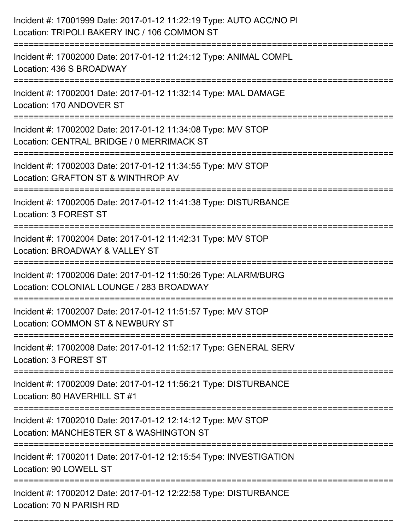| Incident #: 17001999 Date: 2017-01-12 11:22:19 Type: AUTO ACC/NO PI<br>Location: TRIPOLI BAKERY INC / 106 COMMON ST           |
|-------------------------------------------------------------------------------------------------------------------------------|
| Incident #: 17002000 Date: 2017-01-12 11:24:12 Type: ANIMAL COMPL<br>Location: 436 S BROADWAY                                 |
| Incident #: 17002001 Date: 2017-01-12 11:32:14 Type: MAL DAMAGE<br>Location: 170 ANDOVER ST                                   |
| Incident #: 17002002 Date: 2017-01-12 11:34:08 Type: M/V STOP<br>Location: CENTRAL BRIDGE / 0 MERRIMACK ST                    |
| Incident #: 17002003 Date: 2017-01-12 11:34:55 Type: M/V STOP<br>Location: GRAFTON ST & WINTHROP AV                           |
| Incident #: 17002005 Date: 2017-01-12 11:41:38 Type: DISTURBANCE<br>Location: 3 FOREST ST                                     |
| Incident #: 17002004 Date: 2017-01-12 11:42:31 Type: M/V STOP<br>Location: BROADWAY & VALLEY ST                               |
| Incident #: 17002006 Date: 2017-01-12 11:50:26 Type: ALARM/BURG<br>Location: COLONIAL LOUNGE / 283 BROADWAY                   |
| Incident #: 17002007 Date: 2017-01-12 11:51:57 Type: M/V STOP<br>Location: COMMON ST & NEWBURY ST                             |
| Incident #: 17002008 Date: 2017-01-12 11:52:17 Type: GENERAL SERV<br>Location: 3 FOREST ST<br>------------------------------- |
| Incident #: 17002009 Date: 2017-01-12 11:56:21 Type: DISTURBANCE<br>Location: 80 HAVERHILL ST #1                              |
| Incident #: 17002010 Date: 2017-01-12 12:14:12 Type: M/V STOP<br>Location: MANCHESTER ST & WASHINGTON ST                      |
| Incident #: 17002011 Date: 2017-01-12 12:15:54 Type: INVESTIGATION<br>Location: 90 LOWELL ST                                  |
| Incident #: 17002012 Date: 2017-01-12 12:22:58 Type: DISTURBANCE<br>Location: 70 N PARISH RD                                  |

===========================================================================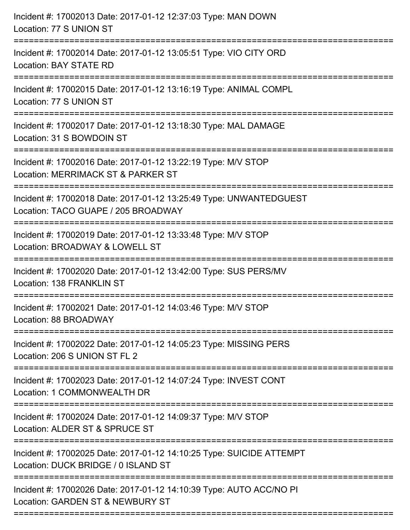| Incident #: 17002013 Date: 2017-01-12 12:37:03 Type: MAN DOWN<br>Location: 77 S UNION ST                                                |
|-----------------------------------------------------------------------------------------------------------------------------------------|
| Incident #: 17002014 Date: 2017-01-12 13:05:51 Type: VIO CITY ORD<br>Location: BAY STATE RD                                             |
| Incident #: 17002015 Date: 2017-01-12 13:16:19 Type: ANIMAL COMPL<br>Location: 77 S UNION ST<br>=======================                 |
| Incident #: 17002017 Date: 2017-01-12 13:18:30 Type: MAL DAMAGE<br>Location: 31 S BOWDOIN ST                                            |
| Incident #: 17002016 Date: 2017-01-12 13:22:19 Type: M/V STOP<br>Location: MERRIMACK ST & PARKER ST<br>======================           |
| Incident #: 17002018 Date: 2017-01-12 13:25:49 Type: UNWANTEDGUEST<br>Location: TACO GUAPE / 205 BROADWAY<br>========================   |
| Incident #: 17002019 Date: 2017-01-12 13:33:48 Type: M/V STOP<br>Location: BROADWAY & LOWELL ST<br>:=================================== |
| Incident #: 17002020 Date: 2017-01-12 13:42:00 Type: SUS PERS/MV<br>Location: 138 FRANKLIN ST                                           |
| Incident #: 17002021 Date: 2017-01-12 14:03:46 Type: M/V STOP<br>Location: 88 BROADWAY                                                  |
| Incident #: 17002022 Date: 2017-01-12 14:05:23 Type: MISSING PERS<br>Location: 206 S UNION ST FL 2                                      |
| Incident #: 17002023 Date: 2017-01-12 14:07:24 Type: INVEST CONT<br>Location: 1 COMMONWEALTH DR                                         |
| Incident #: 17002024 Date: 2017-01-12 14:09:37 Type: M/V STOP<br>Location: ALDER ST & SPRUCE ST                                         |
| Incident #: 17002025 Date: 2017-01-12 14:10:25 Type: SUICIDE ATTEMPT<br>Location: DUCK BRIDGE / 0 ISLAND ST                             |
| Incident #: 17002026 Date: 2017-01-12 14:10:39 Type: AUTO ACC/NO PI<br>Location: GARDEN ST & NEWBURY ST                                 |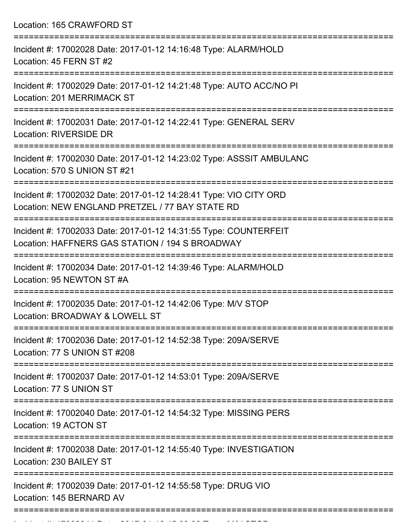Location: 165 CRAWFORD ST =========================================================================== Incident #: 17002028 Date: 2017-01-12 14:16:48 Type: ALARM/HOLD Location: 45 FERN ST #2 =========================================================================== Incident #: 17002029 Date: 2017-01-12 14:21:48 Type: AUTO ACC/NO PI Location: 201 MERRIMACK ST =========================================================================== Incident #: 17002031 Date: 2017-01-12 14:22:41 Type: GENERAL SERV Location: RIVERSIDE DR =========================================================================== Incident #: 17002030 Date: 2017-01-12 14:23:02 Type: ASSSIT AMBULANC Location: 570 S UNION ST #21 =========================================================================== Incident #: 17002032 Date: 2017-01-12 14:28:41 Type: VIO CITY ORD Location: NEW ENGLAND PRETZEL / 77 BAY STATE RD =========================================================================== Incident #: 17002033 Date: 2017-01-12 14:31:55 Type: COUNTERFEIT Location: HAFFNERS GAS STATION / 194 S BROADWAY =========================================================================== Incident #: 17002034 Date: 2017-01-12 14:39:46 Type: ALARM/HOLD Location: 95 NEWTON ST #A =========================================================================== Incident #: 17002035 Date: 2017-01-12 14:42:06 Type: M/V STOP Location: BROADWAY & LOWELL ST =========================================================================== Incident #: 17002036 Date: 2017-01-12 14:52:38 Type: 209A/SERVE Location: 77 S UNION ST #208 =========================================================================== Incident #: 17002037 Date: 2017-01-12 14:53:01 Type: 209A/SERVE Location: 77 S UNION ST =========================================================================== Incident #: 17002040 Date: 2017-01-12 14:54:32 Type: MISSING PERS Location: 19 ACTON ST =========================================================================== Incident #: 17002038 Date: 2017-01-12 14:55:40 Type: INVESTIGATION Location: 230 BAILEY ST =========================================================================== Incident #: 17002039 Date: 2017-01-12 14:55:58 Type: DRUG VIO Location: 145 BERNARD AV ===========================================================================

Incident #: 17002041 Date: 2017 01 12 15:08:02 Type: M/V STOP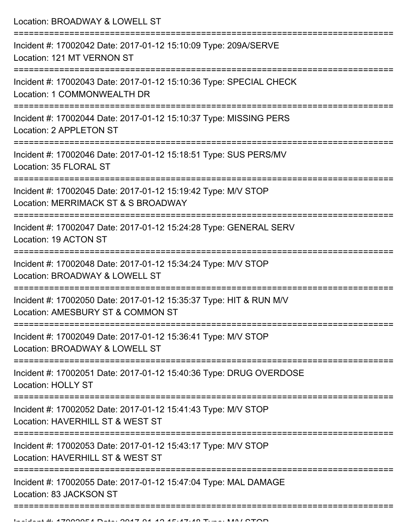Location: BROADWAY & LOWELL ST =========================================================================== Incident #: 17002042 Date: 2017-01-12 15:10:09 Type: 209A/SERVE Location: 121 MT VERNON ST =========================================================================== Incident #: 17002043 Date: 2017-01-12 15:10:36 Type: SPECIAL CHECK Location: 1 COMMONWEALTH DR =========================================================================== Incident #: 17002044 Date: 2017-01-12 15:10:37 Type: MISSING PERS Location: 2 APPLETON ST =========================================================================== Incident #: 17002046 Date: 2017-01-12 15:18:51 Type: SUS PERS/MV Location: 35 FLORAL ST =========================================================================== Incident #: 17002045 Date: 2017-01-12 15:19:42 Type: M/V STOP Location: MERRIMACK ST & S BROADWAY =========================================================================== Incident #: 17002047 Date: 2017-01-12 15:24:28 Type: GENERAL SERV Location: 19 ACTON ST =========================================================================== Incident #: 17002048 Date: 2017-01-12 15:34:24 Type: M/V STOP Location: BROADWAY & LOWELL ST =========================================================================== Incident #: 17002050 Date: 2017-01-12 15:35:37 Type: HIT & RUN M/V Location: AMESBURY ST & COMMON ST =========================================================================== Incident #: 17002049 Date: 2017-01-12 15:36:41 Type: M/V STOP Location: BROADWAY & LOWELL ST =========================================================================== Incident #: 17002051 Date: 2017-01-12 15:40:36 Type: DRUG OVERDOSE Location: HOLLY ST =========================================================================== Incident #: 17002052 Date: 2017-01-12 15:41:43 Type: M/V STOP Location: HAVERHILL ST & WEST ST =========================================================================== Incident #: 17002053 Date: 2017-01-12 15:43:17 Type: M/V STOP Location: HAVERHILL ST & WEST ST =========================================================================== Incident #: 17002055 Date: 2017-01-12 15:47:04 Type: MAL DAMAGE Location: 83 JACKSON ST ===========================================================================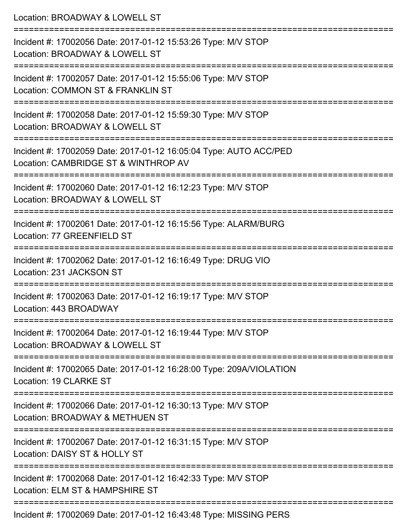| Location: BROADWAY & LOWELL ST                                                                                                       |
|--------------------------------------------------------------------------------------------------------------------------------------|
| Incident #: 17002056 Date: 2017-01-12 15:53:26 Type: M/V STOP<br>Location: BROADWAY & LOWELL ST                                      |
| Incident #: 17002057 Date: 2017-01-12 15:55:06 Type: M/V STOP<br>Location: COMMON ST & FRANKLIN ST<br>==========================     |
| Incident #: 17002058 Date: 2017-01-12 15:59:30 Type: M/V STOP<br>Location: BROADWAY & LOWELL ST                                      |
| Incident #: 17002059 Date: 2017-01-12 16:05:04 Type: AUTO ACC/PED<br>Location: CAMBRIDGE ST & WINTHROP AV                            |
| :================================<br>Incident #: 17002060 Date: 2017-01-12 16:12:23 Type: M/V STOP<br>Location: BROADWAY & LOWELL ST |
| Incident #: 17002061 Date: 2017-01-12 16:15:56 Type: ALARM/BURG<br>Location: 77 GREENFIELD ST                                        |
| Incident #: 17002062 Date: 2017-01-12 16:16:49 Type: DRUG VIO<br>Location: 231 JACKSON ST                                            |
| Incident #: 17002063 Date: 2017-01-12 16:19:17 Type: M/V STOP<br>Location: 443 BROADWAY                                              |
| Incident #: 17002064 Date: 2017-01-12 16:19:44 Type: M/V STOP<br>Location: BROADWAY & LOWELL ST                                      |
| Incident #: 17002065 Date: 2017-01-12 16:28:00 Type: 209A/VIOLATION<br>Location: 19 CLARKE ST                                        |
| Incident #: 17002066 Date: 2017-01-12 16:30:13 Type: M/V STOP<br>Location: BROADWAY & METHUEN ST                                     |
| Incident #: 17002067 Date: 2017-01-12 16:31:15 Type: M/V STOP<br>Location: DAISY ST & HOLLY ST                                       |
| Incident #: 17002068 Date: 2017-01-12 16:42:33 Type: M/V STOP<br>Location: ELM ST & HAMPSHIRE ST                                     |
| Incident #: 17002069 Date: 2017-01-12 16:43:48 Type: MISSING PERS                                                                    |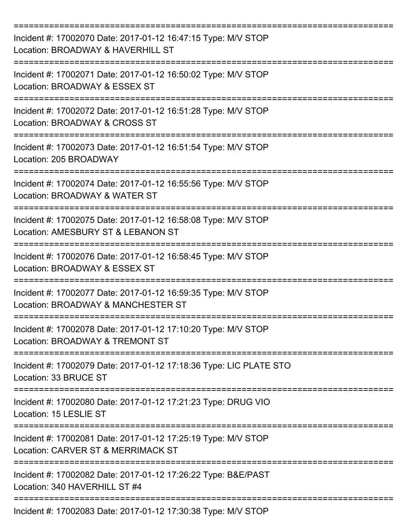| Incident #: 17002070 Date: 2017-01-12 16:47:15 Type: M/V STOP<br>Location: BROADWAY & HAVERHILL ST  |
|-----------------------------------------------------------------------------------------------------|
| Incident #: 17002071 Date: 2017-01-12 16:50:02 Type: M/V STOP<br>Location: BROADWAY & ESSEX ST      |
| Incident #: 17002072 Date: 2017-01-12 16:51:28 Type: M/V STOP<br>Location: BROADWAY & CROSS ST      |
| Incident #: 17002073 Date: 2017-01-12 16:51:54 Type: M/V STOP<br>Location: 205 BROADWAY             |
| Incident #: 17002074 Date: 2017-01-12 16:55:56 Type: M/V STOP<br>Location: BROADWAY & WATER ST      |
| Incident #: 17002075 Date: 2017-01-12 16:58:08 Type: M/V STOP<br>Location: AMESBURY ST & LEBANON ST |
| Incident #: 17002076 Date: 2017-01-12 16:58:45 Type: M/V STOP<br>Location: BROADWAY & ESSEX ST      |
| Incident #: 17002077 Date: 2017-01-12 16:59:35 Type: M/V STOP<br>Location: BROADWAY & MANCHESTER ST |
| Incident #: 17002078 Date: 2017-01-12 17:10:20 Type: M/V STOP<br>Location: BROADWAY & TREMONT ST    |
| Incident #: 17002079 Date: 2017-01-12 17:18:36 Type: LIC PLATE STO<br>Location: 33 BRUCE ST         |
| Incident #: 17002080 Date: 2017-01-12 17:21:23 Type: DRUG VIO<br>Location: 15 LESLIE ST             |
| Incident #: 17002081 Date: 2017-01-12 17:25:19 Type: M/V STOP<br>Location: CARVER ST & MERRIMACK ST |
| Incident #: 17002082 Date: 2017-01-12 17:26:22 Type: B&E/PAST<br>Location: 340 HAVERHILL ST #4      |
| Incident #: 17002083 Date: 2017-01-12 17:30:38 Type: M/V STOP                                       |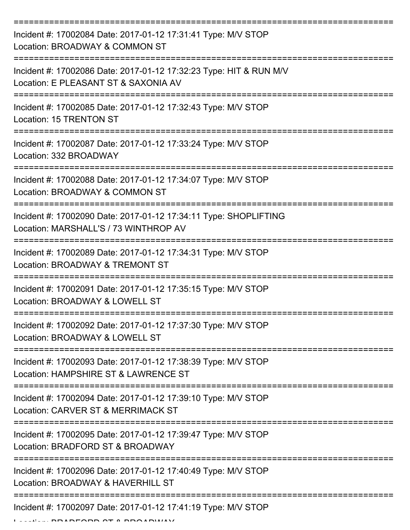| Incident #: 17002084 Date: 2017-01-12 17:31:41 Type: M/V STOP<br>Location: BROADWAY & COMMON ST            |
|------------------------------------------------------------------------------------------------------------|
| Incident #: 17002086 Date: 2017-01-12 17:32:23 Type: HIT & RUN M/V<br>Location: E PLEASANT ST & SAXONIA AV |
| Incident #: 17002085 Date: 2017-01-12 17:32:43 Type: M/V STOP<br>Location: 15 TRENTON ST                   |
| Incident #: 17002087 Date: 2017-01-12 17:33:24 Type: M/V STOP<br>Location: 332 BROADWAY                    |
| Incident #: 17002088 Date: 2017-01-12 17:34:07 Type: M/V STOP<br>Location: BROADWAY & COMMON ST            |
| Incident #: 17002090 Date: 2017-01-12 17:34:11 Type: SHOPLIFTING<br>Location: MARSHALL'S / 73 WINTHROP AV  |
| Incident #: 17002089 Date: 2017-01-12 17:34:31 Type: M/V STOP<br>Location: BROADWAY & TREMONT ST           |
| Incident #: 17002091 Date: 2017-01-12 17:35:15 Type: M/V STOP<br>Location: BROADWAY & LOWELL ST            |
| Incident #: 17002092 Date: 2017-01-12 17:37:30 Type: M/V STOP<br>Location: BROADWAY & LOWELL ST            |
| Incident #: 17002093 Date: 2017-01-12 17:38:39 Type: M/V STOP<br>Location: HAMPSHIRE ST & LAWRENCE ST      |
| Incident #: 17002094 Date: 2017-01-12 17:39:10 Type: M/V STOP<br>Location: CARVER ST & MERRIMACK ST        |
| Incident #: 17002095 Date: 2017-01-12 17:39:47 Type: M/V STOP<br>Location: BRADFORD ST & BROADWAY          |
| Incident #: 17002096 Date: 2017-01-12 17:40:49 Type: M/V STOP<br>Location: BROADWAY & HAVERHILL ST         |
| Incident #: 17002097 Date: 2017-01-12 17:41:19 Type: M/V STOP<br>DEADD AT A DDA ADUIAV                     |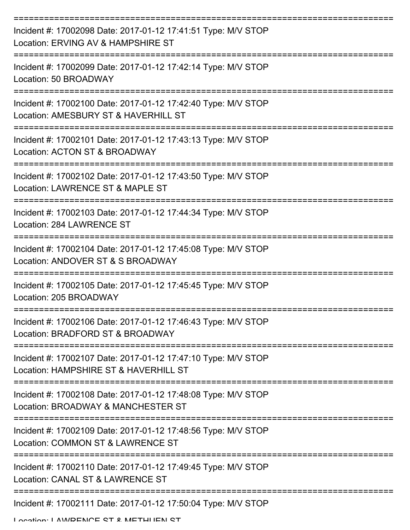| Incident #: 17002098 Date: 2017-01-12 17:41:51 Type: M/V STOP<br>Location: ERVING AV & HAMPSHIRE ST    |
|--------------------------------------------------------------------------------------------------------|
| Incident #: 17002099 Date: 2017-01-12 17:42:14 Type: M/V STOP<br>Location: 50 BROADWAY                 |
| Incident #: 17002100 Date: 2017-01-12 17:42:40 Type: M/V STOP<br>Location: AMESBURY ST & HAVERHILL ST  |
| Incident #: 17002101 Date: 2017-01-12 17:43:13 Type: M/V STOP<br>Location: ACTON ST & BROADWAY         |
| Incident #: 17002102 Date: 2017-01-12 17:43:50 Type: M/V STOP<br>Location: LAWRENCE ST & MAPLE ST      |
| Incident #: 17002103 Date: 2017-01-12 17:44:34 Type: M/V STOP<br>Location: 284 LAWRENCE ST             |
| Incident #: 17002104 Date: 2017-01-12 17:45:08 Type: M/V STOP<br>Location: ANDOVER ST & S BROADWAY     |
| Incident #: 17002105 Date: 2017-01-12 17:45:45 Type: M/V STOP<br>Location: 205 BROADWAY                |
| Incident #: 17002106 Date: 2017-01-12 17:46:43 Type: M/V STOP<br>Location: BRADFORD ST & BROADWAY      |
| Incident #: 17002107 Date: 2017-01-12 17:47:10 Type: M/V STOP<br>Location: HAMPSHIRE ST & HAVERHILL ST |
| Incident #: 17002108 Date: 2017-01-12 17:48:08 Type: M/V STOP<br>Location: BROADWAY & MANCHESTER ST    |
| Incident #: 17002109 Date: 2017-01-12 17:48:56 Type: M/V STOP<br>Location: COMMON ST & LAWRENCE ST     |
| Incident #: 17002110 Date: 2017-01-12 17:49:45 Type: M/V STOP<br>Location: CANAL ST & LAWRENCE ST      |
| Incident #: 17002111 Date: 2017-01-12 17:50:04 Type: M/V STOP                                          |

Location: LAWDENCE ST & METHLIEN ST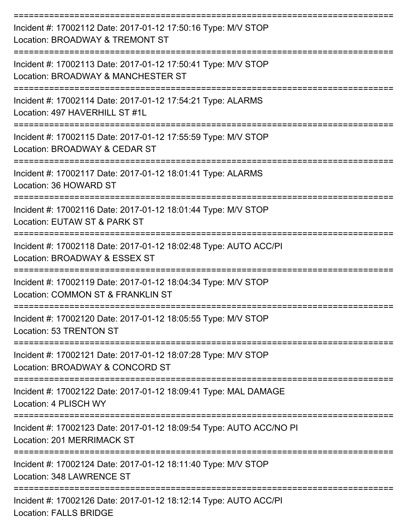| Incident #: 17002112 Date: 2017-01-12 17:50:16 Type: M/V STOP<br>Location: BROADWAY & TREMONT ST         |
|----------------------------------------------------------------------------------------------------------|
| Incident #: 17002113 Date: 2017-01-12 17:50:41 Type: M/V STOP<br>Location: BROADWAY & MANCHESTER ST      |
| Incident #: 17002114 Date: 2017-01-12 17:54:21 Type: ALARMS<br>Location: 497 HAVERHILL ST #1L            |
| Incident #: 17002115 Date: 2017-01-12 17:55:59 Type: M/V STOP<br>Location: BROADWAY & CEDAR ST           |
| Incident #: 17002117 Date: 2017-01-12 18:01:41 Type: ALARMS<br>Location: 36 HOWARD ST                    |
| Incident #: 17002116 Date: 2017-01-12 18:01:44 Type: M/V STOP<br>Location: EUTAW ST & PARK ST            |
| Incident #: 17002118 Date: 2017-01-12 18:02:48 Type: AUTO ACC/PI<br>Location: BROADWAY & ESSEX ST        |
| Incident #: 17002119 Date: 2017-01-12 18:04:34 Type: M/V STOP<br>Location: COMMON ST & FRANKLIN ST       |
| Incident #: 17002120 Date: 2017-01-12 18:05:55 Type: M/V STOP<br>Location: 53 TRENTON ST                 |
| Incident #: 17002121 Date: 2017-01-12 18:07:28 Type: M/V STOP<br>Location: BROADWAY & CONCORD ST         |
| Incident #: 17002122 Date: 2017-01-12 18:09:41 Type: MAL DAMAGE<br>Location: 4 PLISCH WY                 |
| Incident #: 17002123 Date: 2017-01-12 18:09:54 Type: AUTO ACC/NO PI<br><b>Location: 201 MERRIMACK ST</b> |
| Incident #: 17002124 Date: 2017-01-12 18:11:40 Type: M/V STOP<br>Location: 348 LAWRENCE ST               |
| Incident #: 17002126 Date: 2017-01-12 18:12:14 Type: AUTO ACC/PI<br><b>Location: FALLS BRIDGE</b>        |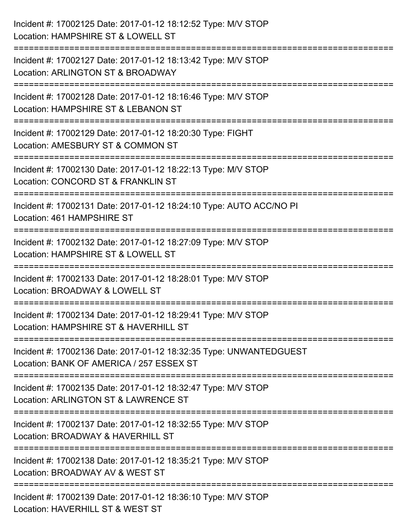| Incident #: 17002125 Date: 2017-01-12 18:12:52 Type: M/V STOP<br>Location: HAMPSHIRE ST & LOWELL ST                             |
|---------------------------------------------------------------------------------------------------------------------------------|
| Incident #: 17002127 Date: 2017-01-12 18:13:42 Type: M/V STOP<br>Location: ARLINGTON ST & BROADWAY                              |
| Incident #: 17002128 Date: 2017-01-12 18:16:46 Type: M/V STOP<br>Location: HAMPSHIRE ST & LEBANON ST<br>:====================== |
| Incident #: 17002129 Date: 2017-01-12 18:20:30 Type: FIGHT<br>Location: AMESBURY ST & COMMON ST                                 |
| Incident #: 17002130 Date: 2017-01-12 18:22:13 Type: M/V STOP<br>Location: CONCORD ST & FRANKLIN ST                             |
| Incident #: 17002131 Date: 2017-01-12 18:24:10 Type: AUTO ACC/NO PI<br>Location: 461 HAMPSHIRE ST                               |
| Incident #: 17002132 Date: 2017-01-12 18:27:09 Type: M/V STOP<br>Location: HAMPSHIRE ST & LOWELL ST                             |
| Incident #: 17002133 Date: 2017-01-12 18:28:01 Type: M/V STOP<br>Location: BROADWAY & LOWELL ST                                 |
| Incident #: 17002134 Date: 2017-01-12 18:29:41 Type: M/V STOP<br>Location: HAMPSHIRE ST & HAVERHILL ST                          |
| Incident #: 17002136 Date: 2017-01-12 18:32:35 Type: UNWANTEDGUEST<br>Location: BANK OF AMERICA / 257 ESSEX ST                  |
| Incident #: 17002135 Date: 2017-01-12 18:32:47 Type: M/V STOP<br>Location: ARLINGTON ST & LAWRENCE ST                           |
| Incident #: 17002137 Date: 2017-01-12 18:32:55 Type: M/V STOP<br>Location: BROADWAY & HAVERHILL ST                              |
| Incident #: 17002138 Date: 2017-01-12 18:35:21 Type: M/V STOP<br>Location: BROADWAY AV & WEST ST                                |
| Incident #: 17002139 Date: 2017-01-12 18:36:10 Type: M/V STOP<br>Location: HAVERHILL ST & WEST ST                               |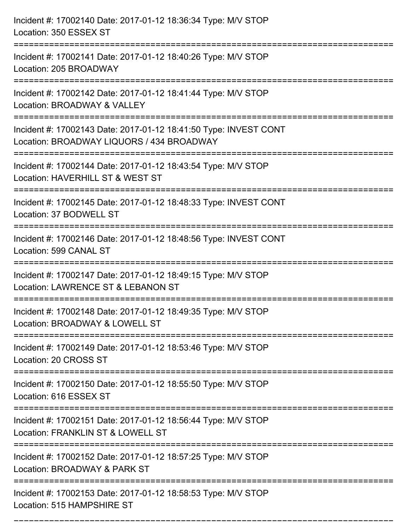| Incident #: 17002140 Date: 2017-01-12 18:36:34 Type: M/V STOP<br>Location: 350 ESSEX ST                       |
|---------------------------------------------------------------------------------------------------------------|
| Incident #: 17002141 Date: 2017-01-12 18:40:26 Type: M/V STOP<br>Location: 205 BROADWAY                       |
| Incident #: 17002142 Date: 2017-01-12 18:41:44 Type: M/V STOP<br>Location: BROADWAY & VALLEY                  |
| Incident #: 17002143 Date: 2017-01-12 18:41:50 Type: INVEST CONT<br>Location: BROADWAY LIQUORS / 434 BROADWAY |
| Incident #: 17002144 Date: 2017-01-12 18:43:54 Type: M/V STOP<br>Location: HAVERHILL ST & WEST ST             |
| Incident #: 17002145 Date: 2017-01-12 18:48:33 Type: INVEST CONT<br>Location: 37 BODWELL ST                   |
| Incident #: 17002146 Date: 2017-01-12 18:48:56 Type: INVEST CONT<br>Location: 599 CANAL ST                    |
| Incident #: 17002147 Date: 2017-01-12 18:49:15 Type: M/V STOP<br>Location: LAWRENCE ST & LEBANON ST           |
| Incident #: 17002148 Date: 2017-01-12 18:49:35 Type: M/V STOP<br>Location: BROADWAY & LOWELL ST               |
| Incident #: 17002149 Date: 2017-01-12 18:53:46 Type: M/V STOP<br>Location: 20 CROSS ST                        |
| Incident #: 17002150 Date: 2017-01-12 18:55:50 Type: M/V STOP<br>Location: 616 ESSEX ST                       |
| Incident #: 17002151 Date: 2017-01-12 18:56:44 Type: M/V STOP<br>Location: FRANKLIN ST & LOWELL ST            |
| Incident #: 17002152 Date: 2017-01-12 18:57:25 Type: M/V STOP<br>Location: BROADWAY & PARK ST                 |
| Incident #: 17002153 Date: 2017-01-12 18:58:53 Type: M/V STOP<br>Location: 515 HAMPSHIRE ST                   |

===========================================================================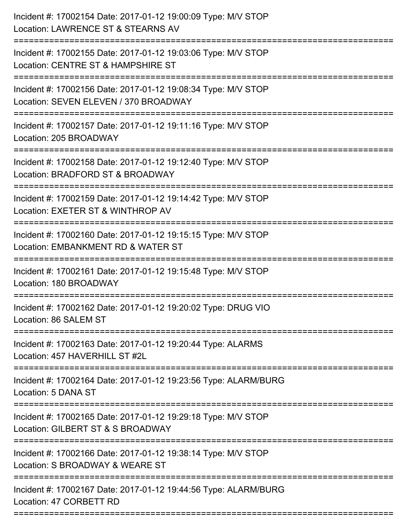| ======================== | Incident #: 17002154 Date: 2017-01-12 19:00:09 Type: M/V STOP<br>Location: LAWRENCE ST & STEARNS AV    |
|--------------------------|--------------------------------------------------------------------------------------------------------|
|                          | Incident #: 17002155 Date: 2017-01-12 19:03:06 Type: M/V STOP<br>Location: CENTRE ST & HAMPSHIRE ST    |
|                          | Incident #: 17002156 Date: 2017-01-12 19:08:34 Type: M/V STOP<br>Location: SEVEN ELEVEN / 370 BROADWAY |
|                          | Incident #: 17002157 Date: 2017-01-12 19:11:16 Type: M/V STOP<br>Location: 205 BROADWAY                |
|                          | Incident #: 17002158 Date: 2017-01-12 19:12:40 Type: M/V STOP<br>Location: BRADFORD ST & BROADWAY      |
|                          | Incident #: 17002159 Date: 2017-01-12 19:14:42 Type: M/V STOP<br>Location: EXETER ST & WINTHROP AV     |
|                          | Incident #: 17002160 Date: 2017-01-12 19:15:15 Type: M/V STOP<br>Location: EMBANKMENT RD & WATER ST    |
|                          | Incident #: 17002161 Date: 2017-01-12 19:15:48 Type: M/V STOP<br>Location: 180 BROADWAY                |
|                          | Incident #: 17002162 Date: 2017-01-12 19:20:02 Type: DRUG VIO<br>Location: 86 SALEM ST                 |
|                          | Incident #: 17002163 Date: 2017-01-12 19:20:44 Type: ALARMS<br>Location: 457 HAVERHILL ST #2L          |
|                          | Incident #: 17002164 Date: 2017-01-12 19:23:56 Type: ALARM/BURG<br>Location: 5 DANA ST                 |
|                          | Incident #: 17002165 Date: 2017-01-12 19:29:18 Type: M/V STOP<br>Location: GILBERT ST & S BROADWAY     |
|                          | Incident #: 17002166 Date: 2017-01-12 19:38:14 Type: M/V STOP<br>Location: S BROADWAY & WEARE ST       |
|                          | Incident #: 17002167 Date: 2017-01-12 19:44:56 Type: ALARM/BURG<br>Location: 47 CORBETT RD             |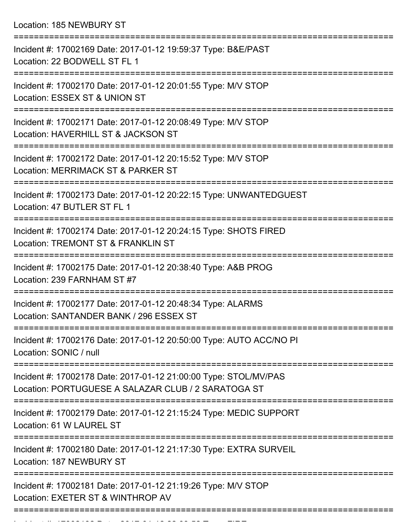Location: 185 NEWBURY ST

| Incident #: 17002169 Date: 2017-01-12 19:59:37 Type: B&E/PAST<br>Location: 22 BODWELL ST FL 1                                                         |
|-------------------------------------------------------------------------------------------------------------------------------------------------------|
| Incident #: 17002170 Date: 2017-01-12 20:01:55 Type: M/V STOP<br>Location: ESSEX ST & UNION ST                                                        |
| Incident #: 17002171 Date: 2017-01-12 20:08:49 Type: M/V STOP<br>Location: HAVERHILL ST & JACKSON ST                                                  |
| Incident #: 17002172 Date: 2017-01-12 20:15:52 Type: M/V STOP<br>Location: MERRIMACK ST & PARKER ST                                                   |
| Incident #: 17002173 Date: 2017-01-12 20:22:15 Type: UNWANTEDGUEST<br>Location: 47 BUTLER ST FL 1                                                     |
| Incident #: 17002174 Date: 2017-01-12 20:24:15 Type: SHOTS FIRED<br>Location: TREMONT ST & FRANKLIN ST                                                |
| Incident #: 17002175 Date: 2017-01-12 20:38:40 Type: A&B PROG<br>Location: 239 FARNHAM ST #7                                                          |
| Incident #: 17002177 Date: 2017-01-12 20:48:34 Type: ALARMS<br>Location: SANTANDER BANK / 296 ESSEX ST                                                |
| Incident #: 17002176 Date: 2017-01-12 20:50:00 Type: AUTO ACC/NO PI<br>Location: SONIC / null                                                         |
| ==========================<br>Incident #: 17002178 Date: 2017-01-12 21:00:00 Type: STOL/MV/PAS<br>Location: PORTUGUESE A SALAZAR CLUB / 2 SARATOGA ST |
| Incident #: 17002179 Date: 2017-01-12 21:15:24 Type: MEDIC SUPPORT<br>Location: 61 W LAUREL ST                                                        |
| Incident #: 17002180 Date: 2017-01-12 21:17:30 Type: EXTRA SURVEIL<br>Location: 187 NEWBURY ST                                                        |
| Incident #: 17002181 Date: 2017-01-12 21:19:26 Type: M/V STOP<br>Location: EXETER ST & WINTHROP AV                                                    |
|                                                                                                                                                       |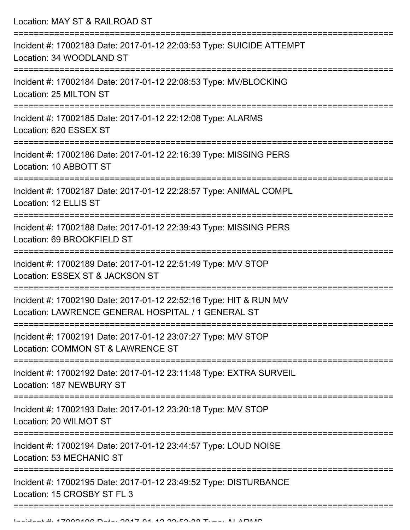| Location: MAY ST & RAILROAD ST                                                                                             |
|----------------------------------------------------------------------------------------------------------------------------|
| Incident #: 17002183 Date: 2017-01-12 22:03:53 Type: SUICIDE ATTEMPT<br>Location: 34 WOODLAND ST                           |
| Incident #: 17002184 Date: 2017-01-12 22:08:53 Type: MV/BLOCKING<br>Location: 25 MILTON ST                                 |
| Incident #: 17002185 Date: 2017-01-12 22:12:08 Type: ALARMS<br>Location: 620 ESSEX ST<br>:================================ |
| Incident #: 17002186 Date: 2017-01-12 22:16:39 Type: MISSING PERS<br>Location: 10 ABBOTT ST                                |
| Incident #: 17002187 Date: 2017-01-12 22:28:57 Type: ANIMAL COMPL<br>Location: 12 ELLIS ST                                 |
| Incident #: 17002188 Date: 2017-01-12 22:39:43 Type: MISSING PERS<br>Location: 69 BROOKFIELD ST                            |
| Incident #: 17002189 Date: 2017-01-12 22:51:49 Type: M/V STOP<br>Location: ESSEX ST & JACKSON ST                           |
| Incident #: 17002190 Date: 2017-01-12 22:52:16 Type: HIT & RUN M/V<br>Location: LAWRENCE GENERAL HOSPITAL / 1 GENERAL ST   |
| Incident #: 17002191 Date: 2017-01-12 23:07:27 Type: M/V STOP<br>Location: COMMON ST & LAWRENCE ST                         |
| Incident #: 17002192 Date: 2017-01-12 23:11:48 Type: EXTRA SURVEIL<br>Location: 187 NEWBURY ST                             |
| Incident #: 17002193 Date: 2017-01-12 23:20:18 Type: M/V STOP<br>Location: 20 WILMOT ST                                    |
| Incident #: 17002194 Date: 2017-01-12 23:44:57 Type: LOUD NOISE<br>Location: 53 MECHANIC ST                                |
| Incident #: 17002195 Date: 2017-01-12 23:49:52 Type: DISTURBANCE<br>Location: 15 CROSBY ST FL 3                            |
|                                                                                                                            |